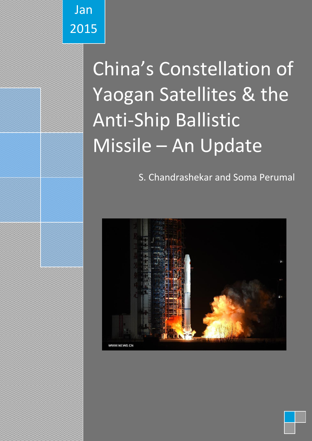

# China's Constellation of Yaogan Satellites & the Anti-Ship Ballistic Missile – An Update

S. Chandrashekar and Soma Perumal

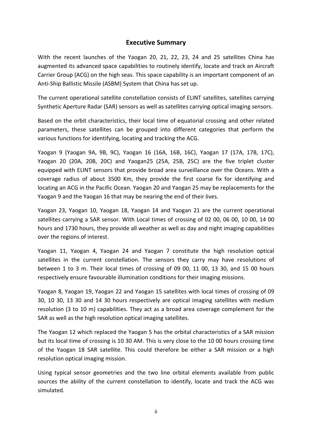# **Executive Summary**

With the recent launches of the Yaogan 20, 21, 22, 23, 24 and 25 satellites China has augmented its advanced space capabilities to routinely identify, locate and track an Aircraft Carrier Group (ACG) on the high seas. This space capability is an important component of an Anti-Ship Ballistic Missile (ASBM) System that China has set up.

The current operational satellite constellation consists of ELINT satellites, satellites carrying Synthetic Aperture Radar (SAR) sensors as well as satellites carrying optical imaging sensors.

Based on the orbit characteristics, their local time of equatorial crossing and other related parameters, these satellites can be grouped into different categories that perform the various functions for identifying, locating and tracking the ACG.

Yaogan 9 (Yaogan 9A, 9B, 9C), Yaogan 16 (16A, 16B, 16C), Yaogan 17 (17A, 17B, 17C), Yaogan 20 (20A, 20B, 20C) and Yaogan25 (25A, 25B, 25C) are the five triplet cluster equipped with ELINT sensors that provide broad area surveillance over the Oceans. With a coverage radius of about 3500 Km, they provide the first coarse fix for identifying and locating an ACG in the Pacific Ocean. Yaogan 20 and Yaogan 25 may be replacements for the Yaogan 9 and the Yaogan 16 that may be nearing the end of their lives.

Yaogan 23, Yaogan 10, Yaogan 18, Yaogan 14 and Yaogan 21 are the current operational satellites carrying a SAR sensor. With Local times of crossing of 02 00, 06 00, 10 00, 14 00 hours and 1730 hours, they provide all weather as well as day and night imaging capabilities over the regions of interest.

Yaogan 11, Yaogan 4, Yaogan 24 and Yaogan 7 constitute the high resolution optical satellites in the current constellation. The sensors they carry may have resolutions of between 1 to 3 m. Their local times of crossing of 09 00, 11 00, 13 30, and 15 00 hours respectively ensure favourable illumination conditions for their imaging missions.

Yaogan 8, Yaogan 19, Yaogan 22 and Yaogan 15 satellites with local times of crossing of 09 30, 10 30, 13 30 and 14 30 hours respectively are optical imaging satellites with medium resolution (3 to 10 m) capabilities. They act as a broad area coverage complement for the SAR as well as the high resolution optical imaging satellites.

The Yaogan 12 which replaced the Yaogan 5 has the orbital characteristics of a SAR mission but its local time of crossing is 10 30 AM. This is very close to the 10 00 hours crossing time of the Yaogan 18 SAR satellite. This could therefore be either a SAR mission or a high resolution optical imaging mission.

Using typical sensor geometries and the two line orbital elements available from public sources the ability of the current constellation to identify, locate and track the ACG was simulated.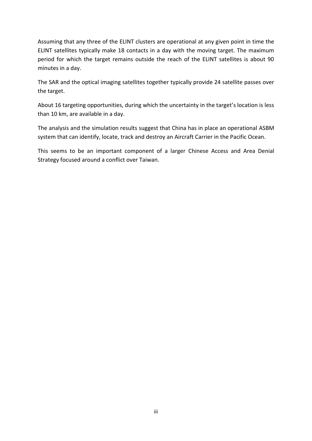Assuming that any three of the ELINT clusters are operational at any given point in time the ELINT satellites typically make 18 contacts in a day with the moving target. The maximum period for which the target remains outside the reach of the ELINT satellites is about 90 minutes in a day.

The SAR and the optical imaging satellites together typically provide 24 satellite passes over the target.

About 16 targeting opportunities, during which the uncertainty in the target's location is less than 10 km, are available in a day.

The analysis and the simulation results suggest that China has in place an operational ASBM system that can identify, locate, track and destroy an Aircraft Carrier in the Pacific Ocean.

This seems to be an important component of a larger Chinese Access and Area Denial Strategy focused around a conflict over Taiwan.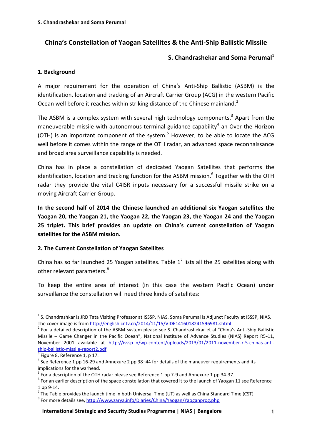# **China's Constellation of Yaogan Satellites & the Anti-Ship Ballistic Missile**

# **S. Chandrashekar and Soma Perumal** 1

#### **1. Background**

A major requirement for the operation of China's Anti-Ship Ballistic (ASBM) is the identification, location and tracking of an Aircraft Carrier Group (ACG) in the western Pacific Ocean well before it reaches within striking distance of the Chinese mainland.<sup>2</sup>

The ASBM is a complex system with several high technology components.<sup>3</sup> Apart from the maneuverable missile with autonomous terminal guidance capability<sup>4</sup> an Over the Horizon (OTH) is an important component of the system.<sup>5</sup> However, to be able to locate the ACG well before it comes within the range of the OTH radar, an advanced space reconnaissance and broad area surveillance capability is needed.

China has in place a constellation of dedicated Yaogan Satellites that performs the identification, location and tracking function for the ASBM mission.<sup>6</sup> Together with the OTH radar they provide the vital C4ISR inputs necessary for a successful missile strike on a moving Aircraft Carrier Group.

**In the second half of 2014 the Chinese launched an additional six Yaogan satellites the Yaogan 20, the Yaogan 21, the Yaogan 22, the Yaogan 23, the Yaogan 24 and the Yaogan 25 triplet. This brief provides an update on China's current constellation of Yaogan satellites for the ASBM mission.**

#### **2. The Current Constellation of Yaogan Satellites**

China has so far launched 25 Yaogan satellites. Table  $1^7$  lists all the 25 satellites along with other relevant parameters.<sup>8</sup>

To keep the entire area of interest (in this case the western Pacific Ocean) under surveillance the constellation will need three kinds of satellites:

 $\overline{a}$ 

 $^1$  S. Chandrashkar is JRD Tata Visiting Professor at ISSSP, NIAS. Soma Perumal is Adjunct Faculty at ISSSP, NIAS. The cover image is from <http://english.cntv.cn/2014/11/15/VIDE1416018241596981.shtml>

 $2$  For a detailed description of the ASBM system please see S. Chandrashekar et al "China's Anti-Ship Ballistic Missile – Game Changer in the Pacific Ocean", National Institute of Advance Studies (NIAS) Report R5-11, November 2001 available at [http://isssp.in/wp-content/uploads/2013/01/2011-november-r-5-chinas-anti](http://isssp.in/wp-content/uploads/2013/01/2011-november-r-5-chinas-anti-ship-ballistic-missile-report2.pdf)[ship-ballistic-missile-report2.pdf](http://isssp.in/wp-content/uploads/2013/01/2011-november-r-5-chinas-anti-ship-ballistic-missile-report2.pdf)

 $3$  Figure 8, Reference 1, p 17.

 $<sup>4</sup>$  See Reference 1 pp 16-29 and Annexure 2 pp 38–44 for details of the maneuver requirements and its</sup> implications for the warhead.

 $<sup>5</sup>$  For a description of the OTH radar please see Reference 1 pp 7-9 and Annexure 1 pp 34-37.</sup>

 $^6$  For an earlier description of the space constellation that covered it to the launch of Yaogan 11 see Reference 1 pp 9-14.

 $^7$  The Table provides the launch time in both Universal Time (UT) as well as China Standard Time (CST)

<sup>&</sup>lt;sup>8</sup> For more details see, <http://www.zarya.info/Diaries/China/Yaogan/Yaoganprog.php>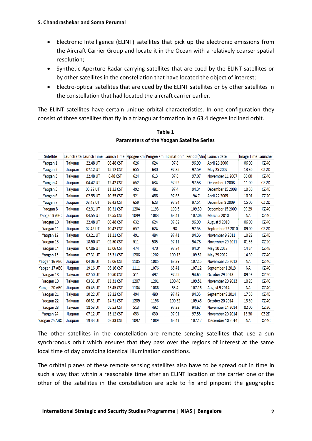- Electronic Intelligence (ELINT) satellites that pick up the electronic emissions from the Aircraft Carrier Group and locate it in the Ocean with a relatively coarser spatial resolution;
- Synthetic Aperture Radar carrying satellites that are cued by the ELINT satellites or by other satellites in the constellation that have located the object of interest;
- Electro-optical satellites that are cued by the ELINT satellites or by other satellites in the constellation that had located the aircraft carrier earlier.

The ELINT satellites have certain unique orbital characteristics. In one configuration they consist of three satellites that fly in a triangular formation in a 63.4 degree inclined orbit.

| Satellite     |                |          | Launch site Launch Time Launch Time Apogee Km Perigee Km Inclination ° |      |      |        | Period (Min) Launch date |                      | Image Time Launcher |                  |
|---------------|----------------|----------|------------------------------------------------------------------------|------|------|--------|--------------------------|----------------------|---------------------|------------------|
| Yaogan 1      | <b>Taiyuan</b> | 22.48 UT | 06.48 CST                                                              | 626  | 624  | 97.8   | 96.99                    | April 26 2006        | 06 00               | CZ 4C            |
| Yaogan 2      | Jiuquan        | 07.12 UT | 15.12 CST                                                              | 655  | 630  | 97.85  | 97.59                    | May 25 2007          | 13 30               | CZ 2D            |
| Yaogan 3      | <b>Taiyuan</b> | 22.48 UT | 6.48 CST                                                               | 624  | 613  | 97.8   | 97.07                    | November 11 2007     | 06 00               | CZ <sub>4C</sub> |
| Yaogan 4      | Jiuquan        | 04.42 UT | 12.42 CST                                                              | 652  | 634  | 97.92  | 97.58                    | December 1 2008      | 1100                | CZ 2D            |
| Yaogan 5      | Taiyuan        | 03.22 UT | 11.22 CST                                                              | 492  | 481  | 97.4   | 94.34                    | December 15 2008     | 10 30               | $CZ$ 4B          |
| Yaogan 6      | <b>Taiyuan</b> | 02.55 UT | 10.55 CST                                                              | 521  | 486  | 97.63  | 94.7                     | April 22 2009        | 1001                | CZ <sub>2C</sub> |
| Yaogan 7      | Jiuquan        | 08.42 UT | 16.42 CST                                                              | 659  | 623  | 97.84  | 97.54                    | December 9 2009      | 15 00               | CZ <sub>2D</sub> |
| Yaogan 8      | <b>Taiyuan</b> | 02.31 UT | 10.31 CST                                                              | 1204 | 1193 | 100.5  | 109.39                   | December 15 2009     | 09 29               | CZ <sub>4C</sub> |
| Yaogan 9 ABC  | Jiuquan        | 04.55 UT | 12.55 CST                                                              | 1099 | 1083 | 63.41  | 107.06                   | March 5 2010         | NА                  | CZ <sub>4C</sub> |
| Yaogan 10     | Taiyuan        | 22.48 UT | 06.48 CST                                                              | 632  | 624  | 97.82  | 96.99                    | <b>August 9 2010</b> | 06 00               | CZ 4C            |
| Yaogan 11     | Jiuquan        | 02.42 UT | 10.42 CST                                                              | 657  | 624  | 98     | 97.53                    | September 22 2010    | 09 00               | CZ <sub>2D</sub> |
| Yaogan 12     | <b>Taiyuan</b> | 03.21 UT | 11.21 CST                                                              | 491  | 484  | 97.41  | 94.36                    | November 9 2011      | 1029                | $CZ$ 4B          |
| Yaogan 13     | Taiyuan        | 18.50 UT | 02.50 CST                                                              | 511  | 505  | 97.11  | 94.78                    | November 29 2011     | 0156                | CZ <sub>2C</sub> |
| Yaogan 14     | <b>Taivuan</b> | 07.06 UT | 15.06 CST                                                              | 474  | 470  | 97.24  | 94.04                    | May 10 2012          | 14 14               | $CZ$ 4B          |
| Yaogan 15     | Taiyuan        | 07 31 UT | 15 31 CST                                                              | 1206 | 1202 | 100.13 | 109.51                   | May 29 2012          | 14 30               | CZ 4C            |
| Yaogan 16 ABC | Jiuquan        | 04 06 UT | 12 06 CST                                                              | 1105 | 1085 | 63.39  | 107.15                   | November 25 2012     | <b>NA</b>           | CZ <sub>4C</sub> |
| Yaogan 17 ABC | Jiuquan        | 19 16 UT | 03 16 CST                                                              | 1111 | 1076 | 63.41  | 107.12                   | September 1 2013     | ΝA                  | CZ <sub>4C</sub> |
| Yaogan 18     | <b>Taiyuan</b> | 02 50 UT | 1050 CST                                                               | 511  | 492  | 97.55  | 94.65                    | October 29 2013      | 0956                | CZ <sub>2C</sub> |
| Yaogan 19     | Taiyuan        | 03 31 UT | 11 31 CST                                                              | 1207 | 1201 | 100.48 | 109.51                   | November 20 2013     | 10 29               | CZ 4C            |
| Yaogan 20 ABC | Jiuquan        | 05 45 UT | 13 45 CST                                                              | 1104 | 1086 | 63.4   | 107.16                   | <b>August 9 2014</b> | <b>NA</b>           | CZ <sub>4C</sub> |
| Yaogan 21     | Taiyuan        | 10 22 UT | 18 22 CST                                                              | 494  | 480  | 97.42  | 94.35                    | September 8 2014     | 1730                | $CZ$ 4B          |
| Yaogan 22     | <b>Taiyuan</b> | 06 31 UT | 14 31 CST                                                              | 1209 | 1196 | 100.32 | 109.48                   | October 20 2014      | 13 30               | CZ <sub>4C</sub> |
| Yaogan 23     | <b>Taiyuan</b> | 1853 UT  | 02 53 CST                                                              | 513  | 492  | 97.33  | 94.67                    | November 14 2014     | 02 00               | CZ <sub>2C</sub> |
| Yaogan 24     | Jiuquan        | 07 12 UT | 15.12 CST                                                              | 653  | 630  | 97.91  | 97.55                    | November 20 2014     | 1330                | $CZ$ 2D          |
| Yaogan 25 ABC | Jiuquan        | 1933 UT  | 03 33 CST                                                              | 1097 | 1089 | 63.41  | 107.12                   | December 10 2014     | <b>NA</b>           | CZ <sub>4C</sub> |

#### **Table 1 Parameters of the Yaogan Satellite Series**

The other satellites in the constellation are remote sensing satellites that use a sun synchronous orbit which ensures that they pass over the regions of interest at the same local time of day providing identical illumination conditions.

The orbital planes of these remote sensing satellites also have to be spread out in time in such a way that within a reasonable time after an ELINT location of the carrier one or the other of the satellites in the constellation are able to fix and pinpoint the geographic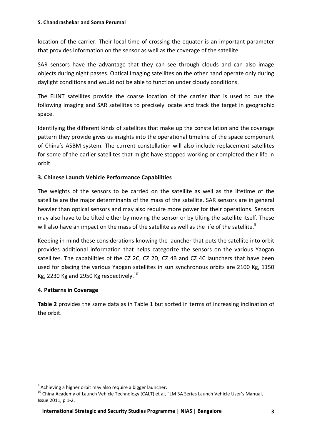location of the carrier. Their local time of crossing the equator is an important parameter that provides information on the sensor as well as the coverage of the satellite.

SAR sensors have the advantage that they can see through clouds and can also image objects during night passes. Optical Imaging satellites on the other hand operate only during daylight conditions and would not be able to function under cloudy conditions.

The ELINT satellites provide the coarse location of the carrier that is used to cue the following imaging and SAR satellites to precisely locate and track the target in geographic space.

Identifying the different kinds of satellites that make up the constellation and the coverage pattern they provide gives us insights into the operational timeline of the space component of China's ASBM system. The current constellation will also include replacement satellites for some of the earlier satellites that might have stopped working or completed their life in orbit.

# **3. Chinese Launch Vehicle Performance Capabilities**

The weights of the sensors to be carried on the satellite as well as the lifetime of the satellite are the major determinants of the mass of the satellite. SAR sensors are in general heavier than optical sensors and may also require more power for their operations. Sensors may also have to be tilted either by moving the sensor or by tilting the satellite itself. These will also have an impact on the mass of the satellite as well as the life of the satellite.<sup>9</sup>

Keeping in mind these considerations knowing the launcher that puts the satellite into orbit provides additional information that helps categorize the sensors on the various Yaogan satellites. The capabilities of the CZ 2C, CZ 2D, CZ 4B and CZ 4C launchers that have been used for placing the various Yaogan satellites in sun synchronous orbits are 2100 Kg, 1150 Kg, 2230 Kg and 2950 Kg respectively.<sup>10</sup>

#### **4. Patterns in Coverage**

**Table 2** provides the same data as in Table 1 but sorted in terms of increasing inclination of the orbit.

 9 Achieving a higher orbit may also require a bigger launcher.

<sup>&</sup>lt;sup>10</sup> China Academy of Launch Vehicle Technology (CALT) et al, "LM 3A Series Launch Vehicle User's Manual, Issue 2011, p 1-2.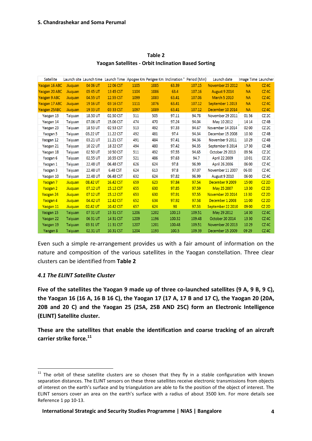| <b>Satellite</b> |                |            | Launch site Launch time Launch Time Apogee Km Perigee Km Inclination ° Period (Min) |      |      |        |        | Launch date          | Image Time Launcher |                   |
|------------------|----------------|------------|-------------------------------------------------------------------------------------|------|------|--------|--------|----------------------|---------------------|-------------------|
| Yaogan 16 ABC    | Jiuquan        | 04 06 UT   | 12 06 CST                                                                           | 1105 | 1085 | 63.39  | 107.15 | November 25 2012     | <b>NA</b>           | CZ <sub>4C</sub>  |
| Yaogan 20 ABC    | Jiuquan        | 05 45 UT   | 13 45 CST                                                                           | 1104 | 1086 | 63.4   | 107.16 | <b>August 9 2014</b> | <b>NA</b>           | CZ <sub>4C</sub>  |
| Yaogan 9 ABC     | Jiuquan        | 04.55 UT   | 12.55 CST                                                                           | 1099 | 1083 | 63.41  | 107.06 | <b>March 5 2010</b>  | <b>NA</b>           | $CZ$ 4 $C$        |
| Yaogan 17 ABC    | Jiuquan        | 19 16 UT   | 03 16 CST                                                                           | 1111 | 1076 | 63.41  | 107.12 | September 1 2013     | <b>NA</b>           | $CZ$ 4C           |
| Yaogan 25ABC     | Jiuquan        | 19 33 UT   | 03 33 CST                                                                           | 1097 | 1089 | 63.41  | 107.12 | December 10 2014     | <b>NA</b>           | CZ <sub>4C</sub>  |
| Yaogan 13        | Taiyuan        | 18.50 UT   | 02.50 CST                                                                           | 511  | 505  | 97.11  | 94.78  | November 29 2011     | 0156                | CZ <sub>2C</sub>  |
| Yaogan 14        | Taiyuan        | 07.06 UT   | 15.06 CST                                                                           | 474  | 470  | 97.24  | 94.04  | May 10 2012          | 14 14               | CZ <sub>4</sub> B |
| Yaogan 23        | <b>Taiyuan</b> | 18 53 UT   | 02 53 CST                                                                           | 513  | 492  | 97.33  | 94.67  | November 14 2014     | 02 00               | CZ <sub>2C</sub>  |
| Yaogan 5         | Taiyuan        | 03.22 UT   | 11.22 CST                                                                           | 492  | 481  | 97.4   | 94.34  | December 15 2008     | 1030                | CZ <sub>4</sub> B |
| Yaogan 12        | Taiyuan        | 03.21 UT   | 11.21 CST                                                                           | 491  | 484  | 97.41  | 94.36  | November 9 2011      | 10 29               | CZ <sub>4</sub> B |
| Yaogan 21        | Taiyuan        | 10 22 UT   | 18 22 CST                                                                           | 494  | 480  | 97.42  | 94.35  | September 8 2014     | 1730                | CZ <sub>4</sub> B |
| Yaogan 18        | <b>Taiyuan</b> | 02 50 UT   | 10 50 CST                                                                           | 511  | 492  | 97.55  | 94.65  | October 29 2013      | 0956                | CZ <sub>2C</sub>  |
| Yaogan 6         | <b>Taiyuan</b> | 02.55 UT   | 10.55 CST                                                                           | 521  | 486  | 97.63  | 94.7   | April 22 2009        | 1001                | CZ <sub>2C</sub>  |
| Yaogan 1         | Taiyuan        | 22.48 UT   | 06.48 CST                                                                           | 626  | 624  | 97.8   | 96.99  | April 26 2006        | 06 00               | CZ <sub>4C</sub>  |
| Yaogan 3         | Taiyuan        | 22.48 UT   | 6.48 CST                                                                            | 624  | 613  | 97.8   | 97.07  | November 11 2007     | 06 00               | CZ <sub>4C</sub>  |
| Yaogan 10        | <b>Taiyuan</b> | 22.48 UT   | 06.48 CST                                                                           | 632  | 624  | 97.82  | 96.99  | <b>August 9 2010</b> | 06 00               | CZ <sub>4C</sub>  |
| Yaogan 7         | Jiuquan        | 08.42 UT   | 16,42 CST                                                                           | 659  | 623  | 97.84  | 97.54  | December 9 2009      | 1500                | CZ 2D             |
| Yaogan 2         | Jiuquan        | $07.12$ UT | 15.12 CST                                                                           | 655  | 630  | 97.85  | 97.59  | May 25 2007          | 13 30               | CZ 2D             |
| Yaogan 24        | Jiuquan        | 07 12 UT   | 15.12 CST                                                                           | 653  | 630  | 97.91  | 97.55  | November 20 2014     | 13 30               | CZ 2D             |
| Yaogan 4         | Jiuquan        | 04.42 UT   | 12.42 CST                                                                           | 652  | 634  | 97.92  | 97.58  | December 1 2008      | 1100                | $CZ$ 2D           |
| Yaogan 11        | Jiuquan        | 02.42 UT   | 10.42 CST                                                                           | 657  | 624  | 98     | 97.53  | September 22 2010    | 09 00               | $CZ$ 2D           |
| Yaogan 15        | Taiyuan        | 07 31 UT   | 15 31 CST                                                                           | 1206 | 1202 | 100.13 | 109.51 | May 29 2012          | 14 30               | CZ <sub>4C</sub>  |
| Yaogan 22        | Taiyuan        | 06 31 UT   | 14 31 CST                                                                           | 1209 | 1196 | 100.32 | 109.48 | October 20 2014      | 13 30               | CZ <sub>4C</sub>  |
| Yaogan 19        | Taiyuan        | 03 31 UT   | 11 31 CST                                                                           | 1207 | 1201 | 100.48 | 109.51 | November 20 2013     | 10 29               | CZ <sub>4C</sub>  |
| Yaogan 8         | Taivuan        | 02.31 UT   | 10.31 CST                                                                           | 1204 | 1193 | 100.5  | 109.39 | December 15 2009     | 09.29               | CZ 4C.            |

**Table 2 Yaogan Satellites - Orbit Inclination Based Sorting** 

Even such a simple re-arrangement provides us with a fair amount of information on the nature and composition of the various satellites in the Yaogan constellation. Three clear clusters can be identified from **Table 2**

#### *4.1 The ELINT Satellite Cluster*

**Five of the satellites the Yaogan 9 made up of three co-launched satellites (9 A, 9 B, 9 C), the Yaogan 16 (16 A, 16 B 16 C), the Yaogan 17 (17 A, 17 B and 17 C), the Yaogan 20 (20A, 20B and 20 C) and the Yaogan 25 (25A, 25B AND 25C) form an Electronic Intelligence (ELINT) Satellite cluster.**

**These are the satellites that enable the identification and coarse tracking of an aircraft carrier strike force.<sup>11</sup>**

**<sup>.</sup>**  $11$  The orbit of these satellite clusters are so chosen that they fly in a stable configuration with known separation distances. The ELINT sensors on these three satellites receive electronic transmissions from objects of interest on the earth's surface and by triangulation are able to fix the position of the object of interest. The ELINT sensors cover an area on the earth's surface with a radius of about 3500 km. For more details see Reference 1 pp 10-13.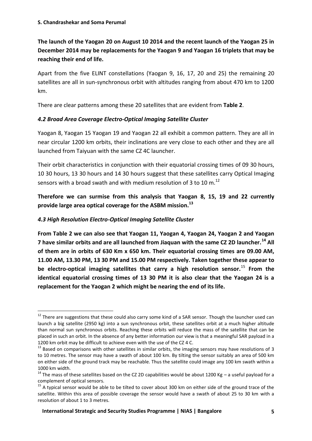# **The launch of the Yaogan 20 on August 10 2014 and the recent launch of the Yaogan 25 in December 2014 may be replacements for the Yaogan 9 and Yaogan 16 triplets that may be reaching their end of life.**

Apart from the five ELINT constellations (Yaogan 9, 16, 17, 20 and 25) the remaining 20 satellites are all in sun-synchronous orbit with altitudes ranging from about 470 km to 1200 km.

There are clear patterns among these 20 satellites that are evident from **Table 2**.

# *4.2 Broad Area Coverage Electro-Optical Imaging Satellite Cluster*

Yaogan 8, Yaogan 15 Yaogan 19 and Yaogan 22 all exhibit a common pattern. They are all in near circular 1200 km orbits, their inclinations are very close to each other and they are all launched from Taiyuan with the same CZ 4C launcher.

Their orbit characteristics in conjunction with their equatorial crossing times of 09 30 hours, 10 30 hours, 13 30 hours and 14 30 hours suggest that these satellites carry Optical Imaging sensors with a broad swath and with medium resolution of 3 to 10 m.<sup>12</sup>

**Therefore we can surmise from this analysis that Yaogan 8, 15, 19 and 22 currently provide large area optical coverage for the ASBM mission.<sup>13</sup>**

# *4.3 High Resolution Electro-Optical Imaging Satellite Cluster*

 $\overline{a}$ 

**From Table 2 we can also see that Yaogan 11, Yaogan 4, Yaogan 24, Yaogan 2 and Yaogan 7 have similar orbits and are all launched from Jiaquan with the same CZ 2D launcher.<sup>14</sup> All of them are in orbits of 630 Km x 650 km. Their equatorial crossing times are 09.00 AM, 11.00 AM, 13.30 PM, 13 30 PM and 15.00 PM respectively. Taken together these appear to be electro-optical imaging satellites that carry a high resolution sensor.**<sup>15</sup> **From the identical equatorial crossing times of 13 30 PM it is also clear that the Yaogan 24 is a replacement for the Yaogan 2 which might be nearing the end of its life.**

<sup>&</sup>lt;sup>12</sup> There are suggestions that these could also carry some kind of a SAR sensor. Though the launcher used can launch a big satellite (2950 kg) into a sun synchronous orbit, these satellites orbit at a much higher altitude than normal sun synchronous orbits. Reaching these orbits will reduce the mass of the satellite that can be placed in such an orbit. In the absence of any better information our view is that a meaningful SAR payload in a 1200 km orbit may be difficult to achieve even with the use of the CZ 4 C.

 $13$  Based on comparisons with other satellites in similar orbits, the imaging sensors may have resolutions of 3 to 10 metres. The sensor may have a swath of about 100 km. By tilting the sensor suitably an area of 500 km on either side of the ground track may be reachable. Thus the satellite could image any 100 km swath within a 1000 km width.

<sup>&</sup>lt;sup>14</sup> The mass of these satellites based on the CZ 2D capabilities would be about 1200 Kg – a useful payload for a complement of optical sensors.

 $15$  A typical sensor would be able to be tilted to cover about 300 km on either side of the ground trace of the satellite. Within this area of possible coverage the sensor would have a swath of about 25 to 30 km with a resolution of about 1 to 3 metres.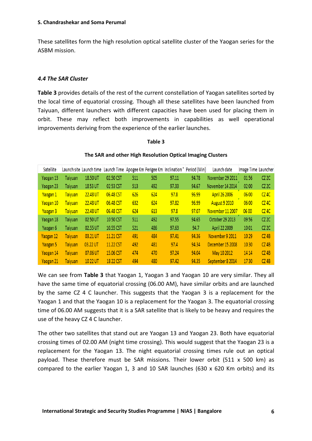These satellites form the high resolution optical satellite cluster of the Yaogan series for the ASBM mission.

#### *4.4 The SAR Cluster*

**Table 3** provides details of the rest of the current constellation of Yaogan satellites sorted by the local time of equatorial crossing. Though all these satellites have been launched from Taiyuan, different launchers with different capacities have been used for placing them in orbit. These may reflect both improvements in capabilities as well operational improvements deriving from the experience of the earlier launches.

#### **Table 3**

#### Satellite Launch site Launch time Launch Time Apogee Km Perigee Km Inclination ° Period (Min) Image Time Launcher Launch date Yaogan 13 Taivuan 18.50 UT 02.50 CST 505 94.78 November 29 2011 0156  $CZ2C$ 511 97.11 Yaogan 23 Taiyuan 1853 UT 02 53 CST 513 492 97.33 94.67 November 14 2014 02 00 CZ<sub>2C</sub> Yaogan 1 Taiyuan 22.48 UT 06.48 CST 626 624  $97.8$ 96.99 April 26 2006 06 00  $CZAC$ **August 9 2010** Yaogan 10 Taiyuan 22.48 UT 06.48 CST 632 624 97.82 96.99 06 00  $CZAC$ Yaogan 3 22.48 UT 06.48 CST 624  $97.8$ 97.07 November 11 2007 06 00  $CZ$  4C Taiyuan 613 Yaogan 18 Taiyuan 02 50 UT 1050 CST 511 492 97.55 94.65 October 29 2013 09 56  $CZ2C$ Yaogan 6 Taivuan 02.55 UT 10.55 CST 521 486 97.63 94.7 April 22 2009 1001  $CZ2C$ 03.21 UT 94.36  $CZ$ 4B Yaogan 12 Taiyuan 11.21 CST 491 484 97.41 November 9 2011 1029 Taiyuan 03.22 UT 11.22 CST 492 481 97.4 94.34 December 15 2008 1030  $CZ$ 4B Yaogan 5 Taiyuan 07.06 UT 474 470 97.24 94.04 May 10 2012 14 14  $CZ$ 4B Yaogan 14 15.06 CST 10 22 UT 18 22 CST 494 480 94.35 September 8 2014 1730 Yaogan 21 Taiyuan 97.42  $CZ$ 4B

#### **The SAR and other High Resolution Optical Imaging Clusters**

We can see from **Table 3** that Yaogan 1, Yaogan 3 and Yaogan 10 are very similar. They all have the same time of equatorial crossing (06.00 AM), have similar orbits and are launched by the same CZ 4 C launcher. This suggests that the Yaogan 3 is a replacement for the Yaogan 1 and that the Yaogan 10 is a replacement for the Yaogan 3. The equatorial crossing time of 06.00 AM suggests that it is a SAR satellite that is likely to be heavy and requires the use of the heavy CZ 4 C launcher.

The other two satellites that stand out are Yaogan 13 and Yaogan 23. Both have equatorial crossing times of 02.00 AM (night time crossing). This would suggest that the Yaogan 23 is a replacement for the Yaogan 13. The night equatorial crossing times rule out an optical payload. These therefore must be SAR missions. Their lower orbit (511 x 500 km) as compared to the earlier Yaogan 1, 3 and 10 SAR launches (630 x 620 Km orbits) and its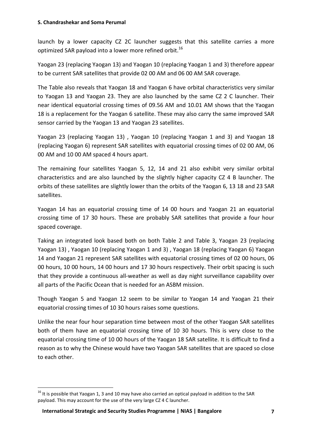launch by a lower capacity CZ 2C launcher suggests that this satellite carries a more optimized SAR payload into a lower more refined orbit.<sup>16</sup>

Yaogan 23 (replacing Yaogan 13) and Yaogan 10 (replacing Yaogan 1 and 3) therefore appear to be current SAR satellites that provide 02 00 AM and 06 00 AM SAR coverage.

The Table also reveals that Yaogan 18 and Yaogan 6 have orbital characteristics very similar to Yaogan 13 and Yaogan 23. They are also launched by the same CZ 2 C launcher. Their near identical equatorial crossing times of 09.56 AM and 10.01 AM shows that the Yaogan 18 is a replacement for the Yaogan 6 satellite. These may also carry the same improved SAR sensor carried by the Yaogan 13 and Yaogan 23 satellites.

Yaogan 23 (replacing Yaogan 13) , Yaogan 10 (replacing Yaogan 1 and 3) and Yaogan 18 (replacing Yaogan 6) represent SAR satellites with equatorial crossing times of 02 00 AM, 06 00 AM and 10 00 AM spaced 4 hours apart.

The remaining four satellites Yaogan 5, 12, 14 and 21 also exhibit very similar orbital characteristics and are also launched by the slightly higher capacity CZ 4 B launcher. The orbits of these satellites are slightly lower than the orbits of the Yaogan 6, 13 18 and 23 SAR satellites.

Yaogan 14 has an equatorial crossing time of 14 00 hours and Yaogan 21 an equatorial crossing time of 17 30 hours. These are probably SAR satellites that provide a four hour spaced coverage.

Taking an integrated look based both on both Table 2 and Table 3, Yaogan 23 (replacing Yaogan 13) , Yaogan 10 (replacing Yaogan 1 and 3) , Yaogan 18 (replacing Yaogan 6) Yaogan 14 and Yaogan 21 represent SAR satellites with equatorial crossing times of 02 00 hours, 06 00 hours, 10 00 hours, 14 00 hours and 17 30 hours respectively. Their orbit spacing is such that they provide a continuous all-weather as well as day night surveillance capability over all parts of the Pacific Ocean that is needed for an ASBM mission.

Though Yaogan 5 and Yaogan 12 seem to be similar to Yaogan 14 and Yaogan 21 their equatorial crossing times of 10 30 hours raises some questions.

Unlike the near four hour separation time between most of the other Yaogan SAR satellites both of them have an equatorial crossing time of 10 30 hours. This is very close to the equatorial crossing time of 10 00 hours of the Yaogan 18 SAR satellite. It is difficult to find a reason as to why the Chinese would have two Yaogan SAR satellites that are spaced so close to each other.

<sup>1</sup>  $16$  It is possible that Yaogan 1, 3 and 10 may have also carried an optical payload in addition to the SAR payload. This may account for the use of the very large CZ 4 C launcher.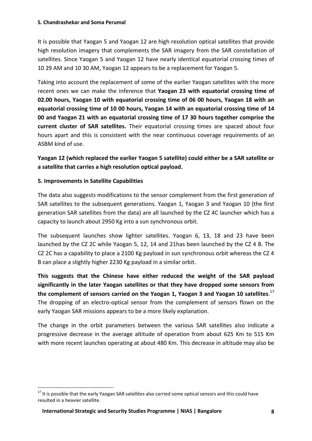It is possible that Yaogan 5 and Yaogan 12 are high resolution optical satellites that provide high resolution imagery that complements the SAR imagery from the SAR constellation of satellites. Since Yaogan 5 and Yaogan 12 have nearly identical equatorial crossing times of 10 29 AM and 10 30 AM, Yaogan 12 appears to be a replacement for Yaogan 5.

Taking into account the replacement of some of the earlier Yaogan satellites with the more recent ones we can make the inference that **Yaogan 23 with equatorial crossing time of 02.00 hours, Yaogan 10 with equatorial crossing time of 06 00 hours, Yaogan 18 with an equatorial crossing time of 10 00 hours, Yaogan 14 with an equatorial crossing time of 14 00 and Yaogan 21 with an equatorial crossing time of 17 30 hours together comprise the current cluster of SAR satellites.** Their equatorial crossing times are spaced about four hours apart and this is consistent with the near continuous coverage requirements of an ASBM kind of use.

**Yaogan 12 (which replaced the earlier Yaogan 5 satellite) could either be a SAR satellite or a satellite that carries a high resolution optical payload.**

# **5. Improvements in Satellite Capabilities**

1

The data also suggests modifications to the sensor complement from the first generation of SAR satellites to the subsequent generations. Yaogan 1, Yaogan 3 and Yaogan 10 (the first generation SAR satellites from the data) are all launched by the CZ 4C launcher which has a capacity to launch about 2950 Kg into a sun synchronous orbit.

The subsequent launches show lighter satellites. Yaogan 6, 13, 18 and 23 have been launched by the CZ 2C while Yaogan 5, 12, 14 and 21has been launched by the CZ 4 B. The CZ 2C has a capability to place a 2100 Kg payload in sun synchronous orbit whereas the CZ 4 B can place a slightly higher 2230 Kg payload in a similar orbit.

**This suggests that the Chinese have either reduced the weight of the SAR payload significantly in the later Yaogan satellites or that they have dropped some sensors from the complement of sensors carried on the Yaogan 1, Yaogan 3 and Yaogan 10 satellites**. 17 The dropping of an electro-optical sensor from the complement of sensors flown on the early Yaogan SAR missions appears to be a more likely explanation.

The change in the orbit parameters between the various SAR satellites also indicate a progressive decrease in the average altitude of operation from about 625 Km to 515 Km with more recent launches operating at about 480 Km. This decrease in altitude may also be

<sup>&</sup>lt;sup>17</sup> It is possible that the early Yaogan SAR satellites also carried some optical sensors and this could have resulted in a heavier satellite.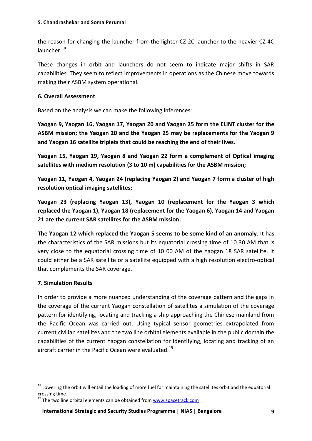the reason for changing the launcher from the lighter CZ 2C launcher to the heavier CZ 4C launcher.<sup>18</sup>

These changes in orbit and launchers do not seem to indicate major shifts in SAR capabilities. They seem to reflect improvements in operations as the Chinese move towards making their ASBM system operational.

#### **6. Overall Assessment**

Based on the analysis we can make the following inferences:

**Yaogan 9, Yaogan 16, Yaogan 17, Yaogan 20 and Yaogan 25 form the ELINT cluster for the ASBM mission; the Yaogan 20 and the Yaogan 25 may be replacements for the Yaogan 9 and Yaogan 16 satellite triplets that could be reaching the end of their lives.**

**Yaogan 15, Yaogan 19, Yaogan 8 and Yaogan 22 form a complement of Optical imaging satellites with medium resolution (3 to 10 m) capabilities for the ASBM mission;**

**Yaogan 11, Yaogan 4, Yaogan 24 (replacing Yaogan 2) and Yaogan 7 form a cluster of high resolution optical imaging satellites;**

**Yaogan 23 (replacing Yaogan 13), Yaogan 10 (replacement for the Yaogan 3 which replaced the Yaogan 1), Yaogan 18 (replacement for the Yaogan 6), Yaogan 14 and Yaogan 21 are the current SAR satellites for the ASBM mission.**

**The Yaogan 12 which replaced the Yaogan 5 seems to be some kind of an anomaly**. It has the characteristics of the SAR missions but its equatorial crossing time of 10 30 AM that is very close to the equatorial crossing time of 10 00 AM of the Yaogan 18 SAR satellite. It could either be a SAR satellite or a satellite equipped with a high resolution electro-optical that complements the SAR coverage.

# **7. Simulation Results**

**.** 

In order to provide a more nuanced understanding of the coverage pattern and the gaps in the coverage of the current Yaogan constellation of satellites a simulation of the coverage pattern for identifying, locating and tracking a ship approaching the Chinese mainland from the Pacific Ocean was carried out. Using typical sensor geometries extrapolated from current civilian satellites and the two line orbital elements available in the public domain the capabilities of the current Yaogan constellation for identifying, locating and tracking of an aircraft carrier in the Pacific Ocean were evaluated.<sup>19</sup>

 $18$  Lowering the orbit will entail the loading of more fuel for maintaining the satellites orbit and the equatorial crossing time.

 $19$  The two line orbital elements can be obtained from  $www.spacetrack.com$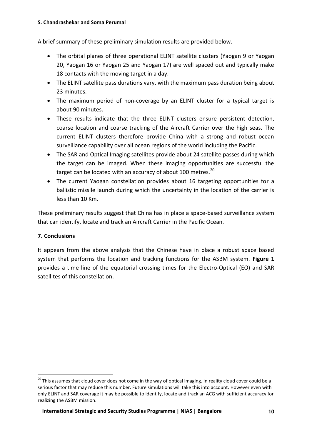#### **S. Chandrashekar and Soma Perumal**

A brief summary of these preliminary simulation results are provided below.

- The orbital planes of three operational ELINT satellite clusters (Yaogan 9 or Yaogan 20, Yaogan 16 or Yaogan 25 and Yaogan 17) are well spaced out and typically make 18 contacts with the moving target in a day.
- The ELINT satellite pass durations vary, with the maximum pass duration being about 23 minutes.
- The maximum period of non-coverage by an ELINT cluster for a typical target is about 90 minutes.
- These results indicate that the three ELINT clusters ensure persistent detection, coarse location and coarse tracking of the Aircraft Carrier over the high seas. The current ELINT clusters therefore provide China with a strong and robust ocean surveillance capability over all ocean regions of the world including the Pacific.
- The SAR and Optical Imaging satellites provide about 24 satellite passes during which the target can be imaged. When these imaging opportunities are successful the target can be located with an accuracy of about 100 metres.<sup>20</sup>
- The current Yaogan constellation provides about 16 targeting opportunities for a ballistic missile launch during which the uncertainty in the location of the carrier is less than 10 Km.

These preliminary results suggest that China has in place a space-based surveillance system that can identify, locate and track an Aircraft Carrier in the Pacific Ocean.

#### **7. Conclusions**

**.** 

It appears from the above analysis that the Chinese have in place a robust space based system that performs the location and tracking functions for the ASBM system. **Figure 1** provides a time line of the equatorial crossing times for the Electro-Optical (EO) and SAR satellites of this constellation.

<sup>&</sup>lt;sup>20</sup> This assumes that cloud cover does not come in the way of optical imaging. In reality cloud cover could be a serious factor that may reduce this number. Future simulations will take this into account. However even with only ELINT and SAR coverage it may be possible to identify, locate and track an ACG with sufficient accuracy for realizing the ASBM mission.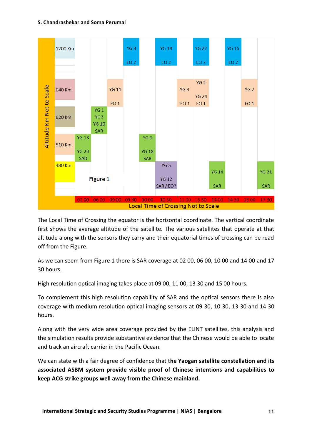#### **S. Chandrashekar and Soma Perumal**



The Local Time of Crossing the equator is the horizontal coordinate. The vertical coordinate first shows the average altitude of the satellite. The various satellites that operate at that altitude along with the sensors they carry and their equatorial times of crossing can be read off from the Figure.

As we can seem from Figure 1 there is SAR coverage at 02 00, 06 00, 10 00 and 14 00 and 17 30 hours.

High resolution optical imaging takes place at 09 00, 11 00, 13 30 and 15 00 hours.

To complement this high resolution capability of SAR and the optical sensors there is also coverage with medium resolution optical imaging sensors at 09 30, 10 30, 13 30 and 14 30 hours.

Along with the very wide area coverage provided by the ELINT satellites, this analysis and the simulation results provide substantive evidence that the Chinese would be able to locate and track an aircraft carrier in the Pacific Ocean.

We can state with a fair degree of confidence that t**he Yaogan satellite constellation and its associated ASBM system provide visible proof of Chinese intentions and capabilities to keep ACG strike groups well away from the Chinese mainland.**